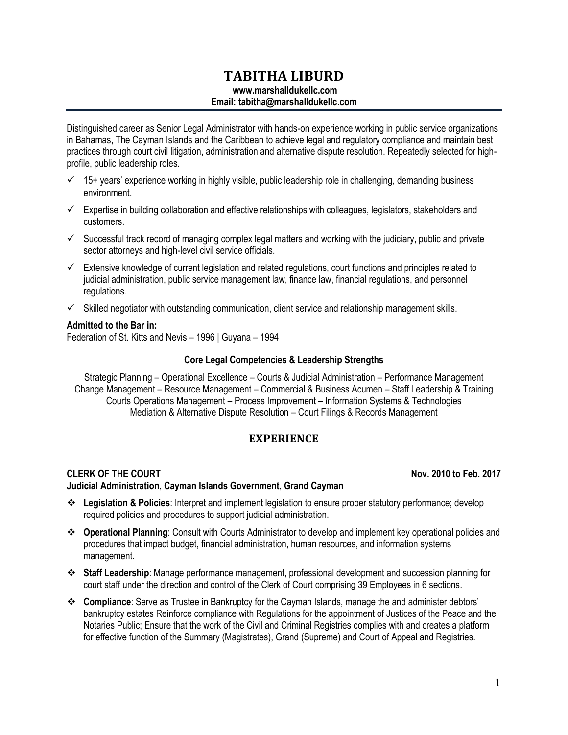# **TABITHA LIBURD**

# **www.marshalldukellc.com**

## **Email: tabitha@marshalldukellc.com**

Distinguished career as Senior Legal Administrator with hands-on experience working in public service organizations in Bahamas, The Cayman Islands and the Caribbean to achieve legal and regulatory compliance and maintain best practices through court civil litigation, administration and alternative dispute resolution. Repeatedly selected for highprofile, public leadership roles.

- $\checkmark$  15+ years' experience working in highly visible, public leadership role in challenging, demanding business environment.
- $\checkmark$  Expertise in building collaboration and effective relationships with colleagues, legislators, stakeholders and customers.
- $\checkmark$  Successful track record of managing complex legal matters and working with the judiciary, public and private sector attorneys and high-level civil service officials.
- $\checkmark$  Extensive knowledge of current legislation and related regulations, court functions and principles related to judicial administration, public service management law, finance law, financial regulations, and personnel regulations.
- $\checkmark$  Skilled negotiator with outstanding communication, client service and relationship management skills.

## **Admitted to the Bar in:**

Federation of St. Kitts and Nevis – 1996 | Guyana – 1994

## **Core Legal Competencies & Leadership Strengths**

Strategic Planning – Operational Excellence – Courts & Judicial Administration – Performance Management Change Management – Resource Management – Commercial & Business Acumen – Staff Leadership & Training Courts Operations Management – Process Improvement – Information Systems & Technologies Mediation & Alternative Dispute Resolution – Court Filings & Records Management

## **EXPERIENCE**

## **CLERK OF THE COURT Nov. 2010 to Feb. 2017**

**Judicial Administration, Cayman Islands Government, Grand Cayman**

- ❖ **Legislation & Policies**: Interpret and implement legislation to ensure proper statutory performance; develop required policies and procedures to support judicial administration.
- ❖ **Operational Planning**: Consult with Courts Administrator to develop and implement key operational policies and procedures that impact budget, financial administration, human resources, and information systems management.
- ❖ **Staff Leadership**: Manage performance management, professional development and succession planning for court staff under the direction and control of the Clerk of Court comprising 39 Employees in 6 sections.
- ❖ **Compliance**: Serve as Trustee in Bankruptcy for the Cayman Islands, manage the and administer debtors' bankruptcy estates Reinforce compliance with Regulations for the appointment of Justices of the Peace and the Notaries Public; Ensure that the work of the Civil and Criminal Registries complies with and creates a platform for effective function of the Summary (Magistrates), Grand (Supreme) and Court of Appeal and Registries.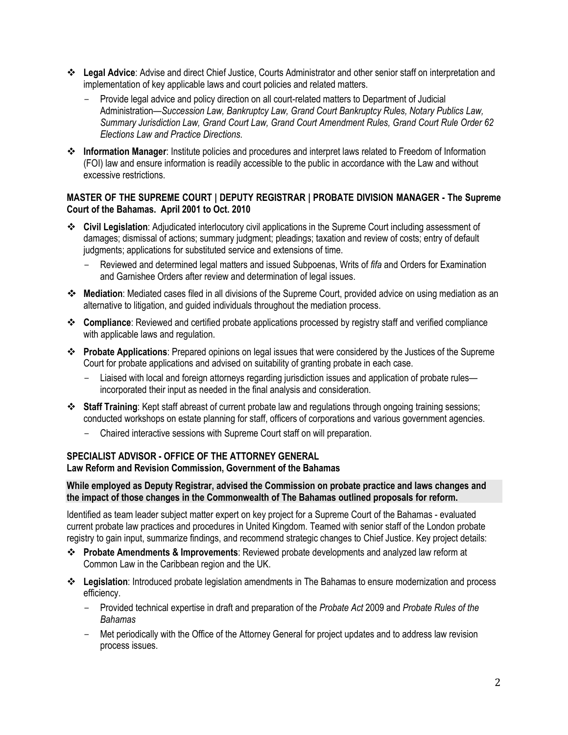- ❖ **Legal Advice**: Advise and direct Chief Justice, Courts Administrator and other senior staff on interpretation and implementation of key applicable laws and court policies and related matters.
	- Provide legal advice and policy direction on all court-related matters to Department of Judicial Administration—*Succession Law, Bankruptcy Law, Grand Court Bankruptcy Rules, Notary Publics Law, Summary Jurisdiction Law, Grand Court Law, Grand Court Amendment Rules, Grand Court Rule Order 62 Elections Law and Practice Directions.*
- ❖ **Information Manager**: Institute policies and procedures and interpret laws related to Freedom of Information (FOI) law and ensure information is readily accessible to the public in accordance with the Law and without excessive restrictions.

## **MASTER OF THE SUPREME COURT | DEPUTY REGISTRAR | PROBATE DIVISION MANAGER - The Supreme Court of the Bahamas. April 2001 to Oct. 2010**

- ❖ **Civil Legislation**: Adjudicated interlocutory civil applications in the Supreme Court including assessment of damages; dismissal of actions; summary judgment; pleadings; taxation and review of costs; entry of default judgments; applications for substituted service and extensions of time.
	- Reviewed and determined legal matters and issued Subpoenas, Writs of *fifa* and Orders for Examination and Garnishee Orders after review and determination of legal issues.
- ❖ **Mediation**: Mediated cases filed in all divisions of the Supreme Court, provided advice on using mediation as an alternative to litigation, and guided individuals throughout the mediation process.
- ❖ **Compliance**: Reviewed and certified probate applications processed by registry staff and verified compliance with applicable laws and regulation.
- ❖ **Probate Applications**: Prepared opinions on legal issues that were considered by the Justices of the Supreme Court for probate applications and advised on suitability of granting probate in each case.
	- Liaised with local and foreign attorneys regarding jurisdiction issues and application of probate rulesincorporated their input as needed in the final analysis and consideration.
- ❖ **Staff Training**: Kept staff abreast of current probate law and regulations through ongoing training sessions; conducted workshops on estate planning for staff, officers of corporations and various government agencies.
	- Chaired interactive sessions with Supreme Court staff on will preparation.

#### **SPECIALIST ADVISOR - OFFICE OF THE ATTORNEY GENERAL Law Reform and Revision Commission, Government of the Bahamas**

## **While employed as Deputy Registrar, advised the Commission on probate practice and laws changes and the impact of those changes in the Commonwealth of The Bahamas outlined proposals for reform.**

Identified as team leader subject matter expert on key project for a Supreme Court of the Bahamas - evaluated current probate law practices and procedures in United Kingdom. Teamed with senior staff of the London probate registry to gain input, summarize findings, and recommend strategic changes to Chief Justice. Key project details:

- ❖ **Probate Amendments & Improvements**: Reviewed probate developments and analyzed law reform at Common Law in the Caribbean region and the UK.
- ❖ **Legislation**: Introduced probate legislation amendments in The Bahamas to ensure modernization and process efficiency.
	- Provided technical expertise in draft and preparation of the *Probate Act* 2009 and *Probate Rules of the Bahamas*
	- Met periodically with the Office of the Attorney General for project updates and to address law revision process issues.